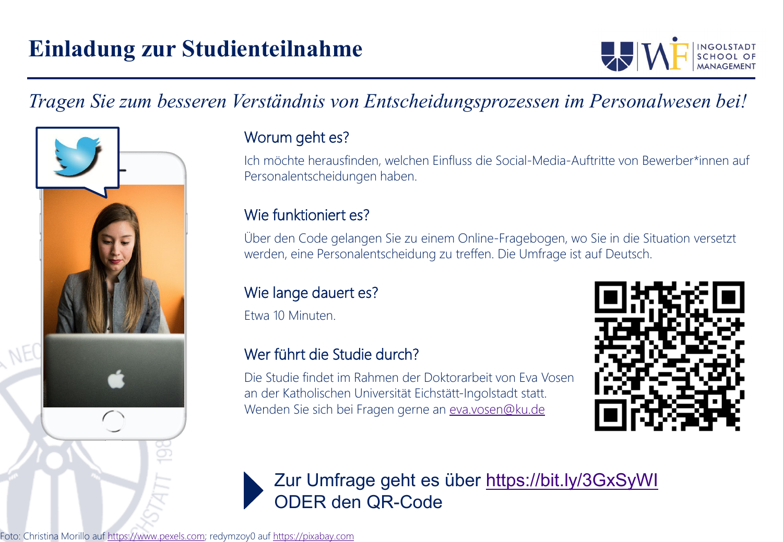

## *Tragen Sie zum besseren Verständnis von Entscheidungsprozessen im Personalwesen bei!*



### Worum geht es?

Ich möchte herausfinden, welchen Einfluss die Social-Media-Auftritte von Bewerber\*innen auf Personalentscheidungen haben.

### Wie funktioniert es?

Über den Code gelangen Sie zu einem Online-Fragebogen, wo Sie in die Situation versetzt werden, eine Personalentscheidung zu treffen. Die Umfrage ist auf Deutsch.

### Wie lange dauert es?

Etwa 10 Minuten.

#### Wer führt die Studie durch?

Die Studie findet im Rahmen der Doktorarbeit von Eva Vosen an der Katholischen Universität Eichstätt-Ingolstadt statt. Wenden Sie sich bei Fragen gerne an [eva.vosen@ku.de](mailto:eva.vosen@ku.de)